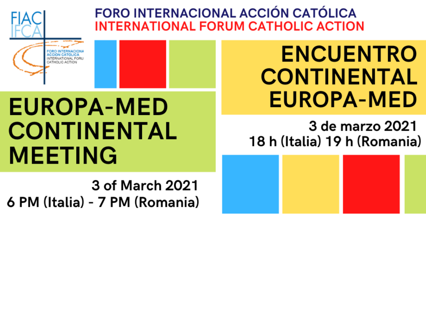**FORO INTERNACIONAL ACCIÓN CATÓLICA INTERNATIONAL FORUM CATHOLIC ACTION** 

# **EUROPA-MED CONTINENTAL MEETING**

3 of March 2021 6 PM (Italia) - 7 PM (Romania)

## **ENCUENTRO CONTINENTAL EUROPA-MED**

**3 de marzo 2021** 18 h (Italia) 19 h (Romania)

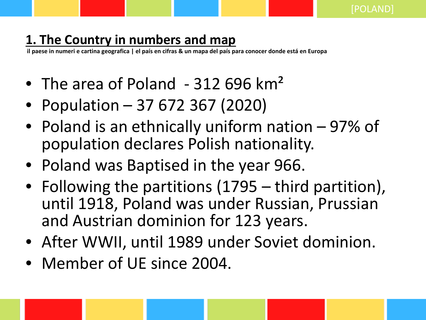### **1. The Country in numbers and map**

**il paese in numeri e cartina geografica | el país en cifras & un mapa del país para conocer donde está en Europa**

- The area of Poland 312 696 km<sup>2</sup>
- Population 37 672 367 (2020)
- Poland is an ethnically uniform nation 97% of population declares Polish nationality.
- Poland was Baptised in the year 966.
- Following the partitions (1795 third partition), until 1918, Poland was under Russian, Prussian and Austrian dominion for 123 years.
- After WWII, until 1989 under Soviet dominion.
- Member of UE since 2004.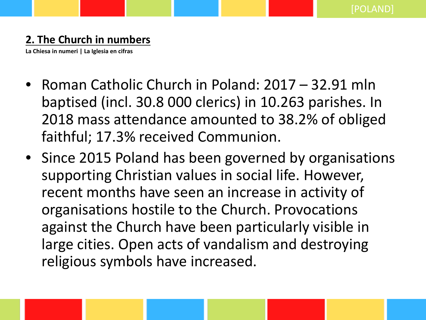#### **2. The Church in numbers**

**La Chiesa in numeri | La Iglesia en cifras**

- Roman Catholic Church in Poland: 2017 32.91 mln baptised (incl. 30.8 000 clerics) in 10.263 parishes. In 2018 mass attendance amounted to 38.2% of obliged faithful; 17.3% received Communion.
- Since 2015 Poland has been governed by organisations supporting Christian values in social life. However, recent months have seen an increase in activity of organisations hostile to the Church. Provocations against the Church have been particularly visible in large cities. Open acts of vandalism and destroying religious symbols have increased.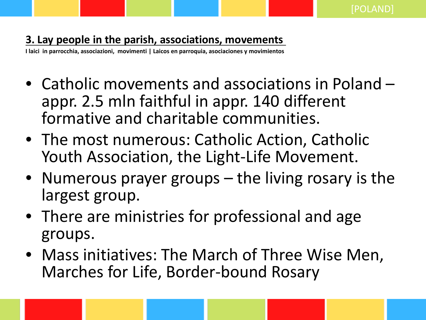#### **3. Lay people in the parish, associations, movements**

**I laici in parrocchia, associazioni, movimenti | Laicos en parroquia, asociaciones y movimientos**

- Catholic movements and associations in Poland appr. 2.5 mln faithful in appr. 140 different formative and charitable communities.
- The most numerous: Catholic Action, Catholic Youth Association, the Light-Life Movement.
- Numerous prayer groups the living rosary is the largest group.
- There are ministries for professional and age groups.
- Mass initiatives: The March of Three Wise Men, Marches for Life, Border-bound Rosary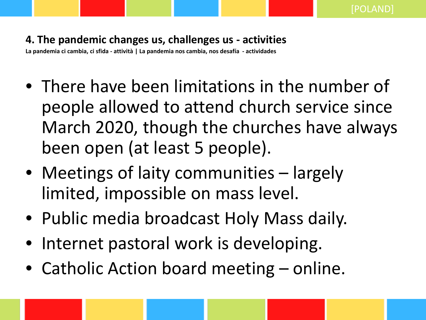#### **4. The pandemic changes us, challenges us - activities**

**La pandemia ci cambia, ci sfida - attività | La pandemia nos cambia, nos desafía - actividades**

- There have been limitations in the number of people allowed to attend church service since March 2020, though the churches have always been open (at least 5 people).
- Meetings of laity communities largely limited, impossible on mass level.
- Public media broadcast Holy Mass daily.
- Internet pastoral work is developing.
- Catholic Action board meeting online.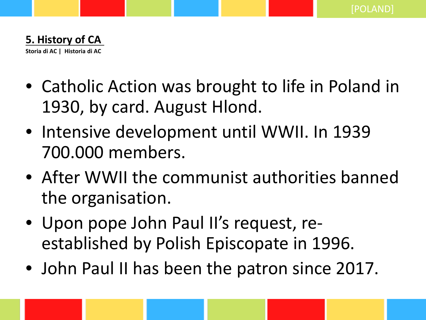

- Catholic Action was brought to life in Poland in 1930, by card. August Hlond.
- Intensive development until WWII. In 1939 700.000 members.
- After WWII the communist authorities banned the organisation.
- Upon pope John Paul II's request, reestablished by Polish Episcopate in 1996.
- John Paul II has been the patron since 2017.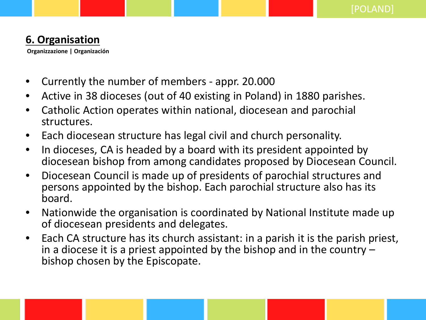#### **6. Organisation**

**Organizzazione | Organización**

- Currently the number of members appr. 20.000
- Active in 38 dioceses (out of 40 existing in Poland) in 1880 parishes.
- Catholic Action operates within national, diocesean and parochial structures.
- Each diocesean structure has legal civil and church personality.
- In dioceses, CA is headed by a board with its president appointed by diocesean bishop from among candidates proposed by Diocesean Council.
- Diocesean Council is made up of presidents of parochial structures and persons appointed by the bishop. Each parochial structure also has its board.
- Nationwide the organisation is coordinated by National Institute made up of diocesean presidents and delegates.
- Each CA structure has its church assistant: in a parish it is the parish priest, in a diocese it is a priest appointed by the bishop and in the country – bishop chosen by the Episcopate.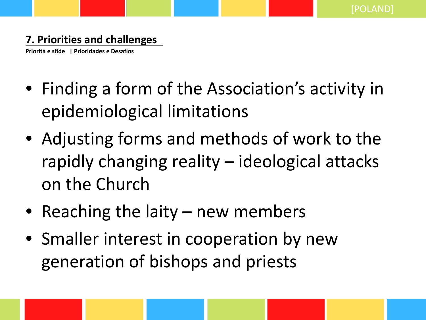#### **7. Priorities and challenges**

**Priorità e sfide | Prioridades e Desafíos**

- Finding a form of the Association's activity in epidemiological limitations
- Adjusting forms and methods of work to the rapidly changing reality – ideological attacks on the Church
- Reaching the laity new members
- Smaller interest in cooperation by new generation of bishops and priests